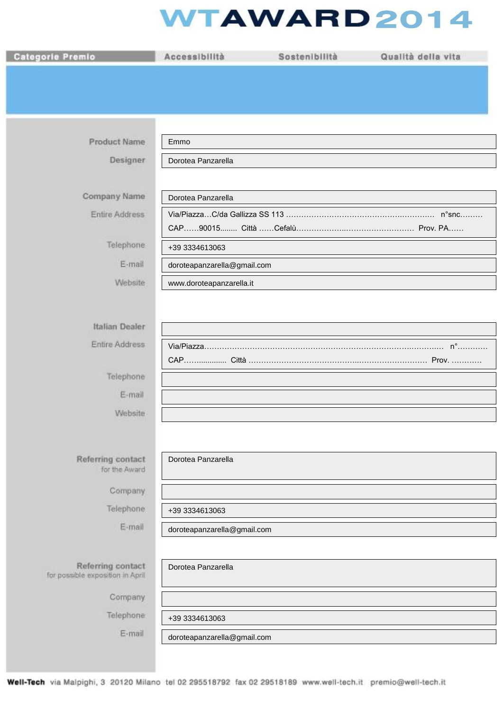## **WTAWARD2014**

| <b>Categorie Premio</b>          | Accessibilità               | Sostenibilità | Qualità della vita |
|----------------------------------|-----------------------------|---------------|--------------------|
|                                  |                             |               |                    |
|                                  |                             |               |                    |
|                                  |                             |               |                    |
| <b>Product Name</b>              | Emmo                        |               |                    |
| Designer                         | Dorotea Panzarella          |               |                    |
|                                  |                             |               |                    |
| Company Name                     | Dorotea Panzarella          |               |                    |
| Entire Address                   |                             |               |                    |
|                                  |                             |               |                    |
| Telephone                        | +39 3334613063              |               |                    |
| E-mail                           | doroteapanzarella@gmail.com |               |                    |
| Website                          | www.doroteapanzarella.it    |               |                    |
|                                  |                             |               |                    |
| Italian Dealer                   |                             |               |                    |
| Entire Address                   |                             |               |                    |
|                                  |                             |               |                    |
| Telephone                        |                             |               |                    |
| E-mail                           |                             |               |                    |
| Website                          |                             |               |                    |
|                                  |                             |               |                    |
| Referring contact                | Dorotea Panzarella          |               |                    |
| for the Award                    |                             |               |                    |
| Company                          |                             |               |                    |
| Telephone:                       | +39 3334613063              |               |                    |
| E-mail                           | doroteapanzarella@gmail.com |               |                    |
|                                  |                             |               |                    |
| Referring contact                | Dorotea Panzarella          |               |                    |
| for possible exposition in April |                             |               |                    |
| Company                          |                             |               |                    |
| Telephone                        | +39 3334613063              |               |                    |
| E-mail                           | doroteapanzarella@gmail.com |               |                    |
|                                  |                             |               |                    |